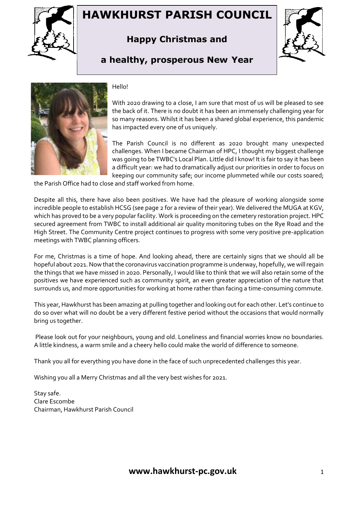

# **HAWKHURST PARISH COUNCIL**

## **Happy Christmas and**



### **a healthy, prosperous New Year**



#### Hello!

With 2020 drawing to a close, I am sure that most of us will be pleased to see the back of it. There is no doubt it has been an immensely challenging year for so many reasons. Whilst it has been a shared global experience, this pandemic has impacted every one of us uniquely.

The Parish Council is no different as 2020 brought many unexpected challenges. When I became Chairman of HPC, I thought my biggest challenge was going to be TWBC's Local Plan. Little did I know! It is fair to say it has been a difficult year: we had to dramatically adjust our priorities in order to focus on keeping our community safe; our income plummeted while our costs soared;

the Parish Office had to close and staff worked from home.

Despite all this, there have also been positives. We have had the pleasure of working alongside some incredible people to establish HCSG (see page 2 for a review of their year). We delivered the MUGA at KGV, which has proved to be a very popular facility. Work is proceeding on the cemetery restoration project. HPC secured agreement from TWBC to install additional air quality monitoring tubes on the Rye Road and the High Street. The Community Centre project continues to progress with some very positive pre-application meetings with TWBC planning officers.

For me, Christmas is a time of hope. And looking ahead, there are certainly signs that we should all be hopeful about 2021. Now that the coronavirus vaccination programme is underway, hopefully, we will regain the things that we have missed in 2020. Personally, I would like to think that we will also retain some of the positives we have experienced such as community spirit, an even greater appreciation of the nature that surrounds us, and more opportunities for working at home rather than facing a time-consuming commute.

This year, Hawkhurst has been amazing at pulling together and looking out for each other. Let's continue to do so over what will no doubt be a very different festive period without the occasions that would normally bring us together.

Please look out for your neighbours, young and old. Loneliness and financial worries know no boundaries. A little kindness, a warm smile and a cheery hello could make the world of difference to someone.

Thank you all for everything you have done in the face of such unprecedented challenges this year.

Wishing you all a Merry Christmas and all the very best wishes for 2021.

Stay safe. Clare Escombe Chairman, Hawkhurst Parish Council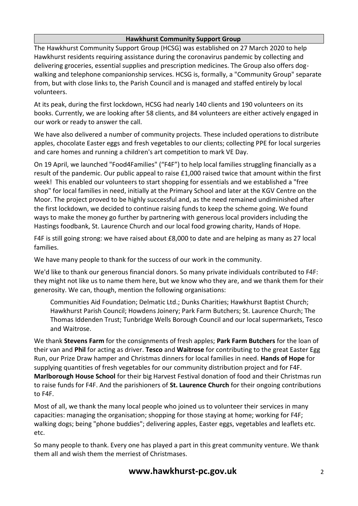#### **Hawkhurst Community Support Group**

The Hawkhurst Community Support Group (HCSG) was established on 27 March 2020 to help Hawkhurst residents requiring assistance during the coronavirus pandemic by collecting and delivering groceries, essential supplies and prescription medicines. The Group also offers dogwalking and telephone companionship services. HCSG is, formally, a "Community Group" separate from, but with close links to, the Parish Council and is managed and staffed entirely by local volunteers.

At its peak, during the first lockdown, HCSG had nearly 140 clients and 190 volunteers on its books. Currently, we are looking after 58 clients, and 84 volunteers are either actively engaged in our work or ready to answer the call.

We have also delivered a number of community projects. These included operations to distribute apples, chocolate Easter eggs and fresh vegetables to our clients; collecting PPE for local surgeries and care homes and running a children's art competition to mark VE Day.

On 19 April, we launched "Food4Families" ("F4F") to help local families struggling financially as a result of the pandemic. Our public appeal to raise £1,000 raised twice that amount within the first week! This enabled our volunteers to start shopping for essentials and we established a "free shop" for local families in need, initially at the Primary School and later at the KGV Centre on the Moor. The project proved to be highly successful and, as the need remained undiminished after the first lockdown, we decided to continue raising funds to keep the scheme going. We found ways to make the money go further by partnering with generous local providers including the Hastings foodbank, St. Laurence Church and our local food growing charity, Hands of Hope.

F4F is still going strong: we have raised about £8,000 to date and are helping as many as 27 local families.

We have many people to thank for the success of our work in the community.

We'd like to thank our generous financial donors. So many private individuals contributed to F4F: they might not like us to name them here, but we know who they are, and we thank them for their generosity. We can, though, mention the following organisations:

Communities Aid Foundation; Delmatic Ltd.; Dunks Charities; Hawkhurst Baptist Church; Hawkhurst Parish Council; Howdens Joinery; Park Farm Butchers; St. Laurence Church; The Thomas Iddenden Trust; Tunbridge Wells Borough Council and our local supermarkets, Tesco and Waitrose.

We thank **Stevens Farm** for the consignments of fresh apples; **Park Farm Butchers** for the loan of their van and **Phil** for acting as driver. **Tesco** and **Waitrose** for contributing to the great Easter Egg Run, our Prize Draw hamper and Christmas dinners for local families in need. **Hands of Hope** for supplying quantities of fresh vegetables for our community distribution project and for F4F. **Marlborough House School** for their big Harvest Festival donation of food and their Christmas run to raise funds for F4F. And the parishioners of **St. Laurence Church** for their ongoing contributions to F4F.

Most of all, we thank the many local people who joined us to volunteer their services in many capacities: managing the organisation; shopping for those staying at home; working for F4F; walking dogs; being "phone buddies"; delivering apples, Easter eggs, vegetables and leaflets etc. etc.

So many people to thank. Every one has played a part in this great community venture. We thank them all and wish them the merriest of Christmases.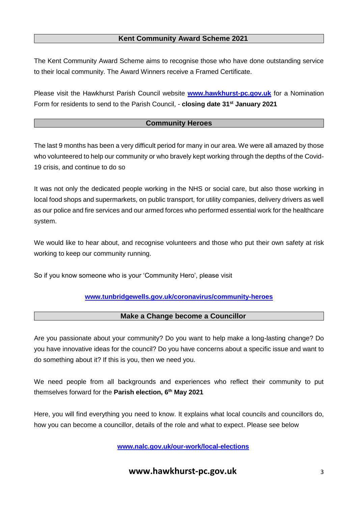#### **Kent Community Award Scheme 2021**

The Kent Community Award Scheme aims to recognise those who have done outstanding service to their local community. The Award Winners receive a Framed Certificate.

Please visit the Hawkhurst Parish Council website **[www.hawkhurst-pc.gov.uk](http://www.hawkhurst-pc.gov.uk/)** for a Nomination Form for residents to send to the Parish Council, - **closing date 31st January 2021**

#### **Community Heroes**

The last 9 months has been a very difficult period for many in our area. We were all amazed by those who volunteered to help our community or who bravely kept working through the depths of the Covid-19 crisis, and continue to do so

It was not only the dedicated people working in the NHS or social care, but also those working in local food shops and supermarkets, on public transport, for utility companies, delivery drivers as well as our police and fire services and our armed forces who performed essential work for the healthcare system.

We would like to hear about, and recognise volunteers and those who put their own safety at risk working to keep our community running.

So if you know someone who is your 'Community Hero', please visit

#### **[www.tunbridgewells.gov.uk/coronavirus/community-heroes](http://www.tunbridgewells.gov.uk/coronavirus/community-heroes)**

#### **Make a Change become a Councillor**

Are you passionate about your community? Do you want to help make a long-lasting change? Do you have innovative ideas for the council? Do you have concerns about a specific issue and want to do something about it? If this is you, then we need you.

We need people from all backgrounds and experiences who reflect their community to put themselves forward for the **Parish election, 6th May 2021**

Here, you will find everything you need to know. It explains what local councils and councillors do, how you can become a councillor, details of the role and what to expect. Please see below

**[www.nalc.gov.uk/our-work/local-elections](http://www.nalc.gov.uk/our-work/local-elections)**

**www.hawkhurst-pc.gov.uk** 3